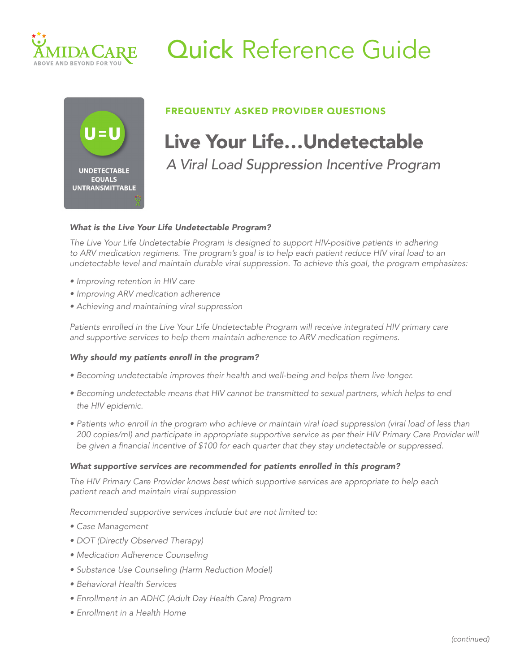

# Quick Reference Guide



### FREQUENTLY ASKED PROVIDER QUESTIONS

## U=U Live Your Life...Undetectable

 *A Viral Load Suppression Incentive Program*

#### *What is the Live Your Life Undetectable Program?*

*The Live Your Life Undetectable Program is designed to support HIV-positive patients in adhering*  to ARV medication regimens. The program's goal is to help each patient reduce HIV viral load to an *undetectable level and maintain durable viral suppression. To achieve this goal, the program emphasizes:*

- *• Improving retention in HIV care*
- *• Improving ARV medication adherence*
- *• Achieving and maintaining viral suppression*

*Patients enrolled in the Live Your Life Undetectable Program will receive integrated HIV primary care and supportive services to help them maintain adherence to ARV medication regimens.* 

#### *Why should my patients enroll in the program?*

- *• Becoming undetectable improves their health and well-being and helps them live longer.*
- *• Becoming undetectable means that HIV cannot be transmitted to sexual partners, which helps to end the HIV epidemic.*
- Patients who enroll in the program who achieve or maintain viral load suppression (viral load of less than 200 copies/ml) and participate in appropriate supportive service as per their HIV Primary Care Provider will be given a financial incentive of \$100 for each quarter that they stay undetectable or suppressed.

### *What supportive services are recommended for patients enrolled in this program?*

*The HIV Primary Care Provider knows best which supportive services are appropriate to help each patient reach and maintain viral suppression*

*Recommended supportive services include but are not limited to:*

- *• Case Management*
- *• DOT (Directly Observed Therapy)*
- *• Medication Adherence Counseling*
- *• Substance Use Counseling (Harm Reduction Model)*
- *• Behavioral Health Services*
- *• Enrollment in an ADHC (Adult Day Health Care) Program*
- *• Enrollment in a Health Home*